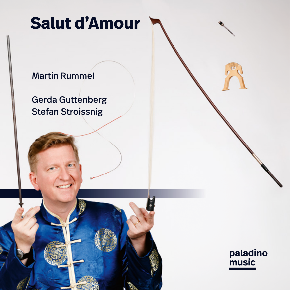# **Salut d'Amour**

## Martin Rummel

Gerda Guttenberg Stefan Stroissnig

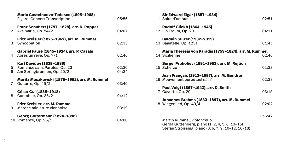| 1.     | Mario Castelnuovo-Tedesco (1895–1968)<br><b>Figaro. Concert Transcription</b>          | 05:56          |
|--------|----------------------------------------------------------------------------------------|----------------|
| 2      | Franz Schubert (1797-1828), arr. D. Popper<br>Ave Maria, Op. 54/2                      | 04:07          |
| 3      | Fritz Kreisler (1875–1962), arr. M. Rummel<br>Syncopation                              | 02:33          |
| 4      | Gabriel Fauré (1845-1924), arr. P. Casals<br>Après un rêve, Op. 7/1                    | 02:46          |
| 5<br>6 | Karl Davidov (1838-1889)<br>Romance sans Paroles, Op. 23<br>Am Springbrunnen, Op. 20/2 | 02:30<br>04:34 |
| 7      | Moritz Moszkowski (1875–1962), arr. M. Rummel<br>Guitarre, Op. 45/2                    | 03:40          |
| 8      | César Cui (1835-1918)<br>Cantabile, Op. 36/2                                           | 04:12          |
| 9.     | Fritz Kreisler, arr. M. Rummel<br>Marche miniature viennoise                           | 03:19          |
| 10     | Georg Goltermann (1824-1898)<br>Romanze, Op. 96/1                                      | 04:00          |

| Sir Edward Elgar (1857–1934)<br>11 Salut d'amour                                                                                    | 02:51    |  |
|-------------------------------------------------------------------------------------------------------------------------------------|----------|--|
| <b>Rudolf Glickh (1864-1945)</b><br>12 Ein Traum, Op. 20                                                                            | 04:11    |  |
| <b>Balduin Sulzer (1932-2019)</b><br>13 Bagatelle, Op. 123a                                                                         | 01:45    |  |
| Maria Theresia von Paradis (1759–1824), arr. M. Rummel<br>14 Sicilienne<br>02:46                                                    |          |  |
| Sergei Prokofiev (1891–1953), arr. M. Rejtich<br>15 Scherzo                                                                         | 01:38    |  |
| Jean Françaix (1912-1997), arr. M. Gendron<br>16 Mouvement perpétuel (1944)                                                         | 02:33    |  |
| Paul Voigt (1867–1943), arr. D. Smith<br>17 Gavotte, Op. 20                                                                         | 03:15    |  |
| Johannes Brahms (1833-1897), arr. M. Rummel<br>18 Wiegenlied, Op. 49/4                                                              | 02:02    |  |
| Martin Rummel, violoncello<br>Gerda Guttenberg, piano (1, 2, 4, 5, 8, 13-15)<br>Stefan Stroissnig, piano (3, 6, 7, 9, 10-12, 16-18) | TT 56:42 |  |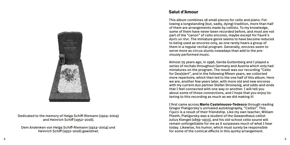

Dedicated to the memory of Helga Schiff-Riemann (1924–2004) and Heinrich Schiff (1952–2016).

Dem Andenken von Helga Schiff-Riemann (1924–2004) und Heinrich Schiff (1952–2016) gewidmet.

## **Salut d'Amour**

This album combines 18 small pieces for cello and piano. Following a longstanding (but, sadly, dying) tradition, more than half of them are arrangements made by cellists. To my knowledge, some of them have never been recorded before, and most are not part of the "canon" of cello encores, maybe except for Fauré's *Après un rêve*. The miniature genre seems to have become reduced to being used as encores only, as one rarely hears a group of them in a regular recital program. Generally, encores seem to serve more as circus stunts nowadays than add to the previously performed music.

Almost 25 years ago, in 1996, Gerda Guttenberg and I played a series of recitals throughout Germany and Austria which only had miniatures on the program. The result was our recording "Cello for Des(s)ert", and in the following fifteen years, we collected more repertoire, which then led to the one half of this album. Here we are, another few years later, with more old and new encores with my current duo partner Stefan Stroissnig, and odds-and-ends that I feel connected with one way or another. I will tell you about some of those connections, and I hope that you enjoy listening to this recording as much as we did making it!

I first came across **Mario Castelnuovo-Tedesco** through reading Gregor Piatigorsky's unrivaled autobiography, "Cellist". This *Figaro* is a result of their friendship. Like my own teacher, William Pleeth, Piatigorsky was a student of the Gewandhaus cellist Julius Klengel (1859–1933), and his old-school cello sound will remain unforgettable for me as it surpasses much of what I hear today. Likewise, his humor, which must surely be responsible for some of the comical effects in this quirky arrangement.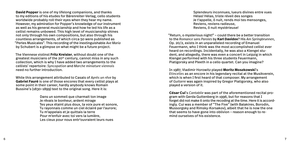**David Popper** is one of my lifelong companions, and thanks to my editions of his etudes for Bärenreiter-Verlag, cello students worldwide probably roll their eyes when they hear my name. However, my admiration for Popper's knowledge of our instrument as well as his general musicianship and how he led his life as a cellist remains unbowed. This high level of musicianship shines not only through his own compositions, but also through his countless arrangements, of which circa 50 were published as "Perles Musicales". This recording of the inextinguishable *Ave Maria* by Schubert is a glimpse on what might be a future project.

The Viennese violinst **Fritz Kreisler**, without doubt one of the greatest musicians of the 20th century, cannot miss in any such collection, which is why I have added two arrangements to the cellists' repertoire: *Syncopation* and *Marche miniature viennois* need no further introduction.

While this arrangement attributed to Casals of *Après un rêve* by **Gabriel Fauré** is one of those encores that every cellist plays at some point in their career, hardly anybody knows Romain Bussine's (1830–1899) text to the original song. Here it is:

> Dans un sommeil que charmait ton image Je rêvais le bonheur, ardent mirage Tes yeux étaint plus doux, ta voix pure et sonore, Tu rayonnais comme un ciel éclairé par l'aurore; Tu m'appelais et je quittais la terre Pour m'enfuir avec toi vers la lumière, Les cieux pour nous entr'ouvraient leurs nues

Splendeurs inconnues, lueurs divines entre vues Hélas! Hélas, triste réveil des songes Je t'appelle, ô nuit, rends moi tes mensonges, Reviens, reviens radieuse, Reviens, ô nuit mystérieuse!

"Return, o mysterious night!" – could there be a better transition to the *Romance sans Paroles* by **Karl Davidov**? His *Am Springbrunnen*, Op. 20/2, exists in an unparalleled recording of Emanuel Feuermann, who I think was the most accomplished cellist ever heard on recordings. Incidentally, he was also a Klengel student, and allegedly, there was even a concert in Leipzig in which Klengel performed with his three students Feuermann, Piatigorsky and Pleeth in a cello quartet. Can you imagine?

In 1987, Vladimir Horowitz played **Moritz Moszkowski**'s

*Etincelles* as an encore in his legendary recital at the Musikverein, which is when I first heard of that composer. My arrangement of *Guitarre* was again inspired by Gregor Piatigorsky, who also played a version of it.

**César Cui**'s *Cantabile* was part of the aforementioned recital program with Gerda Guttenberg in 1996, but for reasons that I forget did not make it onto the recoding at the time. Here it is accordingly. Cui was a member of "The Five" (with Balakirev, Borodin, Mussorgsky and Rimsky-Korsakov), albeit that he is now the one that seems to have gone into oblivion – reason enough to remind ourselves of his existence.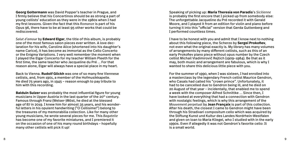**Georg Goltermann** was David Popper's teacher in Prague, and I firmly believe that his Concertinos should be as strong a part of young cellists' education as they were in the 1980s when I had my first lessons. Given the fact that this *Romanze* is part of his Opus 96, there have to be at least 95 other works that could be rediscovered.

*Salut d'amour* by **Edward Elgar**, the title of this album, is probably one of the most famous salon pieces ever written. A love declaration for his wife, Caroline Alice (shortened into his daughter's name Carice), it has become as immortal as the Cello Concerto or the Enigma Variations. I very well remember the moment when I played the Elgar Concerto for my teacher William Pleeth for the first time, the same teacher who Jacqueline du Pré … For that reason alone, Elgar will always have a special place in my heart.

Back to Vienna. **Rudolf Glickh** was one of so many fine Viennese cellists, and, from 1901, a member of the Hofmusikkapelle. He died 75 years ago, in 1945 – reason enough to pay tribute to him with this recording.

**Balduin Sulzer** was probably the most influential figure for young musicians in Upper Austria in the last quarter of the 20<sup>th</sup> century. Famous through Franz (Welser-)Möst, he died at the blessed age of 87 in 2019. I knew him for almost 35 years, and his wonderful letters in his opulent handwriting ("O Cellisime!") belong to the treasures of my memorabilia collection. Like for many other young musicians, he wrote several pieces for me. This *Bagatelle* has become one of my favorite miniatures, and I premiered it on the occasion of one of his many round birthdays – hopefully many other cellists will pick it up!

Speaking of picking up: **Maria Theresia von Paradis**'s *Sicilienne* is probably the first encore that I picked up from somebody else: The unforgettable Jacqueline du Pré recorded it with Gerald Moore, and I played it from an edition for violin and piano before turning it into this "official" version that Gerda Guttenberg and I performed countless times.

I have to be honest with you and admit that I know next to nothing about this following piece, the Scherzo by **Sergei Prokofiev**, not even what the original exactly is. My library has many volumes of arrangements by many different cellists, such as this of an early Prokofiev piano piece without opus number by the Czech cellist Michail Vladimirovič Rejtich (1909–1984). Be that as it may, both music and arrangement are fabulous, which is why I wanted to share this delicious little piece with you.

For the summer of 1990, when I was sixteen, I had enrolled into a masterclass by the legendary French cellist Maurice Gendron, who Casals had called his "crown prince". Unfortunately, it had to be cancelled due to Gendron being ill, and he died on 20 August of that year – incidentally, that enabled me to spend a week with the composer Alfred Schnittke … Since then, I have looked at everything that had a connection with Gendron with nostalgic feelings, which is why this arrangement of the *Mouvement perpetual* by **Jean Françaix** is part of this collection. After his death, the closest I came to Gendron might have been through his Stradivari compositum cello which was acquired by the Stiftung Kunst und Kultur des Landes Nordrhein-Westfalen and given on loan to Maria Kliegel, who I studied with in the early 1990s. Even if allegedly it was not Gendron's favorite cello: It is a small world.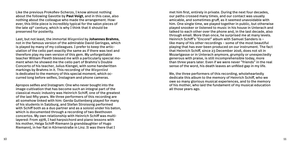Like the previous Prokofiev-Scherzo, I know almost nothing about the following Gavotte by **Paul Voigt**, and in this case, also nothing about the colleague who made the arrangement. However, this little piece is incredibly typical for the salon pieces of the late 19th century, which is why I think that it should be preserved for posterity.

Last, but not least, the immortal *Wiegenlied* by **Johannes Brahms**, not in the famous version of the admirable David Geringas, which is played by many of my colleagues. I prefer to keep the articulation of the cello part exactly the same as if there was text and therefore play my own version of this gem. My unforgettable teacher William Pleeth blessed me with a particularly special moment when he showed me the cello part of Brahms's Double Concerto of his teacher, Julius Klengel, with some handwritten markings by Brahms in it. This recording of the *Wiegenlied* is dedicated to the memory of this special moment, which occurred long before selfies, Instagram and phone cameras.

Apropos selfies and Instagram: One who never bought into the image-cultivation that has become such an integral part of the classical music industry was Heinrich Schiff, one of the greatest of the last fifty years. We three performers of this recording are all somehow linked with him: Gerda Guttenberg played for many of his students in Salzburg, and Stefan Stroissnig performed with Schiff both as a duo partner and as a soloist under his baton, which is documented through a recording of two Beethoven concertos. My own relationship with Heinrich Schiff was multilayered: From 1978, I had harpsichord and piano lessons with his mother, Helga Schiff-Riemann (a granddaughter of Hugo Riemann), in her flat in Körnerstraße in Linz. It was there that I

met him first, entirely in private. During the next four decades, our paths crossed many times, and our contact was usually amicable, and sometimes gruff, as it seemed unavoidable with him. One single time, we played together in public, but otherwise played snooker or listened to music in his house in Unterach and talked to each other over the phone and, in the last decade, also through email. More than once, he surprised me at many levels. Heinrich Schiff's "Encore!" album with Samuel Sanders is – like many of his other recordings – some of the most beautiful playing that has ever been produced on our instrument. The fact that Heinrich Schiff, since 23 December 2016, does not sit in Mozartgasse or in Unterach anymore, grumpily or unexpectedly generous with praise, is still incomprehensible today, more than three years later. Even if we were never "friends" in the real sense of the word, his death leaves an unfilled gap in my life.

We, the three performers of this recording, wholeheartedly dedicate this album to the memory of Heinrich Schiff, who we owe so many glorious musical experiences, and to the memory of his mother, who laid the fundament of my musical education all those years ago.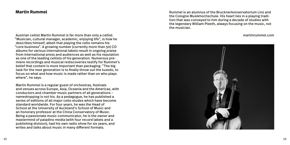## **Martin Rummel**

Austrian cellist Martin Rummel is far more than only a cellist: martinrummel.com "Musician, cultural manager, academic, enjoying life", is how he describes himself, albeit that playing the cello remains his "core business". A growing number (currently more than 50) CD albums for various international labels result in ongoing praise from international press and audiences as well as his reputation as one of the leading cellists of his generation. Numerous premiere recordings and musical rediscoveries testify for Rummel's belief that content is more important than packaging. "The big task for the next generation is to finally throw out the tuxedo, to focus on what and how music is made rather than on who plays where", he says.

Martin Rummel is a regular guest of orchestras, festivals and venues across Europe, Asia, Oceania and the Americas, with conductors and chamber music partners of all generations – namedropping is not his. As a pedagogue, he has published a series of editions of all major cello etudes which have become standard worldwide. For four years, he was the Head of School at the University of Auckland's School of Music and an honorary professor at the China Conservatory of Music. Being a passionate music communicator, he is the owner and mastermind of paladino media (with four record labels and a publishing division), had his own radio show for six years, and writes and talks about music in many different formats.

Rummel is an alumnus of the Brucknerkonservatorium Linz and the Cologne Musikhochschule. His heart lies in a playing tradition that was conveyed to him during a decade of studies with the legendary William Pleeth, always focusing on the music, not the musician.

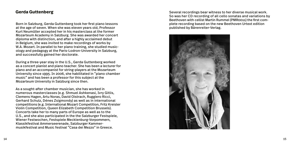## **Gerda Guttenberg**

Born in Salzburg, Gerda Guttenberg took her first piano lessons at the age of seven. When she was eleven years old, Professor Kurt Neumüller accepted her in his masterclass at the former Mozarteum Academy in Salzburg. She was awarded her concert diploma with distinction, and after a highly acclaimed debut in Belgium, she was invited to make recordings of works by W.A. Mozart. In parallel to her piano training, she studied musicology and pedagogy at the Paris-Lodron-University in Salzburg, and successfully gained her doctorate.

During a three-year stay in the U.S., Gerda Guttenberg worked as a concert pianist and piano teacher. She has been a lecturer for piano and an accompanist for string-players at the Mozarteum University since 1995. In 2006, she habilitated in "piano chamber music" and has been a professor for this subject at the Mozarteum University in Salzburg since then.

As a sought-after chamber musician, she has worked in numerous masterclasses (e.g. Shmuel Ashkenasi, Ivry Gitlis, Clemens Hagen, Artu Noras, David Oistrach, Ruggiero Ricci, Gerhard Schulz, Dénes Zsigmondy) as well as in international competitions (e.g. International Mozart Competition, Fritz Kreisler Violin Competition, Queen Elizabeth Competition Brussels). Concerts take her to many parts of Europe as well as to the U.S., and she also participated in the the Salzburger Festspiele, Wiener Festwochen, Festspiele Mecklenburg-Vorpommern, Klassikfestival Ammerseerenade, Salzburger Kammermusikfestival and Music festival "Casa dei Mezzo" in Greece.

Several recordings bear witness to her diverse musical work. So was her CD recording of all cello sonatas and variations by Beethoven with cellist Martin Rummel (PMR0011) the first complete recording based on the new Beethoven Urtext edition published by Bärenreiter-Verlag.

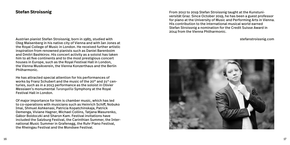## **Stefan Stroissnig**

Austrian pianist Stefan Stroissnig, born in 1985, studied with stefanstroissnig.com Oleg Maisenberg in his native city of Vienna and with Ian Jones at the Royal College of Music in London. He received further artistic inspiration from renowned pianists such as Daniel Barenboim and Dmitri Bashkirov. His concert activity as a soloist has taken him to all five continents and to the most prestigious concert houses in Europe, such as the Royal Festival Hall in London, the Vienna Musikverein, the Vienna Konzerthaus and the Berlin Philharmonic.

He has attracted special attention for his performances of works by Franz Schubert and the music of the 20<sup>th</sup> and 21<sup>st</sup> centuries, such as in a 2013 performance as the soloist in Olivier Messiaen's monumental *Turangalîla* Symphony at the Royal Festival Hall in London.

Of major importance for him is chamber music, which has led to co-operations with musicians such as Heinrich Schiff, Nobuko Imai, Shmuel Ashkenasi, Patricia Kopatchinskaja, Patrick Demenga, Viviane Hagner, Michael Collins, Tatjana Masurenko, Gábor Boldoczki and Sharon Kam. Festival invitations have included the Salzburg Festival, the Carinthian Summer, the International Music Summer in Grafenegg, the Ruhr Piano Festival, the Rheingau Festival and the Mondsee Festival.

From 2012 to 2019 Stefan Stroissnig taught at the Kunstuniversität Graz. Since October 2019, he has been a guest professor for piano at the University of Music and Performing Arts in Vienna. His contribution to the international musical world earned Stefan Stroissnig a nomination for the Credit Suisse Award in 2014 from the Vienna Philharmonic.

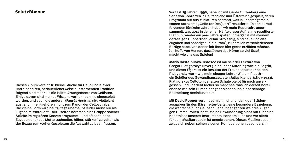#### **Salut d'Amour**

Dieses Album vereint 18 kleine Stücke für Cello und Klavier, und einer alten, bedauerlicherweise aussterbenden Tradition folgend sind mehr als die Hälfte Arrangements von Cellisten. Einige davon sind meines Wissens vorher noch nie eingespielt worden, und auch die anderen (Faurés *Après un rêve* vielleicht ausgenommen) gehören nicht zum Kanon der Cellozugaben. Die kleine Form wird heutzutage überhaupt leider meist nur als Zugabe missbraucht – allzu selten hört man eine Gruppe solcher Stücke im regulären Konzertprogramm – und oft scheint bei Zugaben eher das Motto "schneller, höher, stärker" zu gelten als der Bezug zum vorher Gespielten die Auswahl zu beeinflussen.

Vor fast 25 Jahren, 1996, habe ich mit Gerda Guttenberg eine Serie von Konzerten in Deutschland und Österreich gespielt, deren Programm nur aus Miniaturen bestand, was in unserer gemeinsamen Aufnahme "Cello for Des(s)ert" resultierte. In den darauffolgenden fünfzehn Jahren haben wir mehr Repertoire angesammelt, was 2012 in der einen Hälfte dieser Aufnahme resultierte. Hier nun, wieder ein paar Jahre später und ergänzt mit meinem derzeitigen Duopartner Stefan Stroissnig, sind neue und alte Zugaben und sonstiger "Kleinkram", zu dem ich verschiedensten Bezüge habe, von denen ich Ihnen hier gerne erzählen möchte. Ich hoffe von Herzen, dass Ihnen das Hören so viel Spaß macht wie uns das Spielen!

**Mario Castelnuovo-Tedesco** ist mir seit der Lektüre von Gregor Piatigorskys unvergleichlicher Autobiografie ein Begriff, und dieser *Figaro* ist ein Resultat der Freundschaft der beiden. Piatigorsky war – wie mein eigener Lehrer William Pleeth – ein Schüler des Gewandhauscellisten Julius Klengel (1859–1933). Piatigorskys Celloton der alten Schule bleibt für mich unvergessen (und überlebt locker so manches, was ich derzeit höre), ebenso wie sein Humor, der ganz sicher auch diese schräge Bearbeitung beeinflusst hat.

Mit **David Popper** verbindet mich nicht nur dank der Etüdenausgaben für den Bärenreiter-Verlag eine besondere Beziehung, die wahrscheinlich Celloschüler auf der ganzen Welt die Augen gen Himmel rollen lässt. Meine Bewunderung nicht nur für seine Kenntnisse unseres Instruments, sondern auch und vor allem für sein Musikerdasein ist ungebrochen. Dieses Musikerdasein zeigt sich neben seinen eigenen Kompositionen besonders in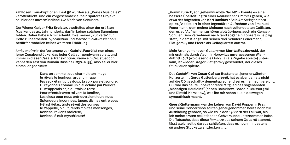zahllosen Transkriptionen. Fast 50 wurden als "Perles Musicales" veröffentlicht, und ein Vorgeschmack auf ein späteres Projekt sei hier das unverwüstliche *Ave Maria* von Schubert.

Der Wiener Geiger **Fritz Kreisler**, zweifellos einer der größten Musiker des 20. Jahrhunderts, darf in keiner solchen Sammlung fehlen. Daher habe ich mir erlaubt, zwei seiner "Zuckerln" für Cello zu bearbeiten. *Syncopation* und *Marche miniature viennois* bedürfen wahrlich keiner weiteren Erklärung.

*Après un rêve* in der Vertonung von **Gabriel Fauré** ist nun eines jener Zugabenstücke, das jeder Cellist irgendwann spielt, und immer in dieser Casals-Transkription. Kaum ein Cellist jedoch kennt den Text von Romain Bussine (1830–1899), also sei er hier einmal abgedruckt:

> Dans un sommeil que charmait ton image Je rêvais le bonheur, ardent mirage Tes yeux étaint plus doux, ta voix pure et sonore, Tu rayonnais comme un ciel éclairé par l'aurore; Tu m'appelais et je quittais la terre Pour m'enfuir avec toi vers la lumière, Les cieux pour nous entr'ouvraient leurs nues Splendeurs inconnues, lueurs divines entre vues Hélas! Hélas, triste réveil des songes Je t'appelle, ô nuit, rends moi tes mensonges, Reviens, reviens radieuse, Reviens, ô nuit mystérieuse!

"Komm zurück, ach geheimnisvolle Nacht!" – könnte es eine bessere Überleitung zu einer *Romance sans Paroles* geben, wie etwa der folgenden von **Karl Davidov**? Sein *Am Springbrunnen* op. 20/2 existiert in einer legendären Aufnahme von Emanuel Feuermann, dem meiner Meinung nach vollendetsten Cellisten, den es auf Aufnahmen zu hören gibt; übrigens auch ein Klengel-Schüler. Dem Vernehmen nach fand sogar ein Konzert in Leipzig statt, in dem Klengel mit seinen drei Schülern Feuermann, Piatigorsky und Pleeth als Celloquartett auftrat.

Mein Arrangement von *Guitarre* von **Moritz Moszkowski**, der mir erstmals durch Vladimir Horowitzs unvergessenem Wien-Auftritt 1987 (wo dieser die *Etincelles* als Zugabe spielte) unterkam, ist wieder Gregor Piatigorsky geschuldet, der dieses Stück auch spielte.

Das *Cantabile* von **Cesar Cuí** war Bestandteil jener erwähnten Konzerte mit Gerda Guttenberg 1996, hat es aber damals nicht auf die CD geschafft – dementsprechend sei es hier nachgereicht. Cuí war das heute unbekannteste Mitglied des sogenannten "Mächtigen Häufleins" (neben Balakirew, Borodin, Mussorgski und Rimski-Korsakow), was ihn mir schon allein deswegen sympathisch macht.

**Georg Goltermann** war der Lehrer von David Popper in Prag, und seine Concertinos sollten genaugenommen heute noch zur Ausbildung gehören, so wie es in den 1980ern der Fall war, als ich meine ersten cellistischen Gehversuche unternommen habe. Die Tatsache, dass diese *Romanze* aus seinem Opus 96 stammt, lässt gleichzeitig daraus schließen, dass es noch mindestens 95 andere Stücke zu entdecken gilt.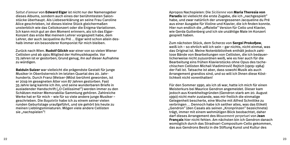*Saltut d'amour* von **Edward Elgar** ist nicht nur der Namensgeber dieses Albums, sondern auch eines der berühmtesten Salonstücke überhaupt. Als Liebeserklärung an seine Frau Caroline Alice geschrieben, ist dieses kleine Stück gleichermaßen unsterblich wie das Cellokonzert oder die Enigma-Variationen. Ich kann mich gut an den Moment erinnern, als ich das Elgar-Konzert das erste Mal meinem Lehrer vorgespielt habe, dem Lehrer, der auch Jacqueline du Pré … Elgar wird schon allein deshalb immer ein besonderer Komponist für mich bleiben.

Zurück nach Wien. **Rudolf Glickh** war einer von so vielen Wiener Cellisten und ab 1901 Mitglied der Hofmusikkapelle. Vor 75 Jahren ist er gestorben; Grund genug, ihn auf dieser Aufnahme zu würdigen.

**Balduin Sulzer** war vielleicht die prägendste Gestalt für junge Musiker in Oberösterreich im letzten Quartal des 20. Jahrhunderts. Durch Franz (Welser-)Möst berühmt geworden, ist er 2019 im gesegneten Alter von 87 Jahren gestorben. Fast 35 Jahre lang kannte ich ihn, und seine wunderbaren Briefe in ausladender Handschrift ("O Cellissime!") werden immer zu den Schätzen meiner Memorabilia-Sammlung gehören. Zahlreiche Werke hat er für mich – wie für so viele andere junge Musiker – geschrieben. Die *Bagatelle* habe ich zu einem seiner vielen runden Geburtstage uraufgeführt, und sie gehört bis heute zu meinen Lieblingsminiaturen. Mögen viele andere Cellisten sie "nachspielen"!

Apropos Nachspielen: Die *Sicilienne* von **Maria Theresia von Paradis** ist vielleicht die erste Zugabe, die ich "nachgespielt" habe, und zwar natürlich der unvergessenen Jacqueline du Pré aus einer Ausgabe für Violine und Klavier, die ich finden konnte. Hier nun endlich die "offizielle" Version für Cello und Klavier, wie Gerda Guttenberg und ich sie unzählige Male im Konzert gespielt haben.

Zum nächsten Stück, dem Scherzo von **Sergei Prokofjew**, weiß ich – so ehrlich will ich sein – gar nichts, nicht einmal, was das Original ist. Meine Notenbibliothek enthält jedoch zahllose Bände von Bearbeitungen von Cellisten, die ich bedauerlicherweise nicht zuzuordnen weiß, wie es hier auch für die Bearbeitung eins frühen Klavierstücks ohne Opus des tschechischen Cellisten Michail Vladimirovič Rejtich (1909–1984) der Fall ist. Tatsache ist aber, dass sowohl Musik als auch Arrangement grandios sind, und so will ich Ihnen diese Köstlichkeit nicht vorenthalten!

Für den Sommer 1990, als ich 16 war, hatte ich mich für einen Meisterkurs bei Maurice Gendron angemeldet. Dieser kam jedoch aus Krankheitsgründen (Gendron starb am 20. August 1990) nicht mehr zustande, was mir freilich die einmalige Gelegenheit bescherte, eine Woche mit Alfred Schnittke zu verbringen … Dennoch habe ich seither alles, was das Etikett "Gendron" (den Casals als seinen "Kronprinzen" bezeichnete) trägt, immer mit einem wehmütigen Blick beobachtet, daher darf dieses Arrangement des *Mouvement perpetuel* von **Jean Françaix** hier nicht fehlen. Am nächsten bin ich Gendron danach womöglich durch das Stradivari-Compositum-Cello gekommen, das aus Gendrons Besitz in die Stiftung Kunst und Kultur des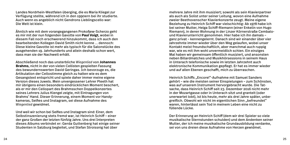Landes Nordrhein-Westfalen überging, die es Maria Kliegel zur Verfügung stellte, während ich in den 1990ern bei ihr studierte. Auch wenn es angeblich nicht Gendrons Lieblingscello war: Die Welt ist klein.

Ähnlich wie mit dem vorangegangenen Prokofjew-Scherzo geht es mir mit der nun folgenden Gavotte von **Paul Voigt**, wobei in diesem Fall noch erschwerend hinzukommt, dass ich auch den bearbeitenden Kollegen David Smith nicht kenne … dennoch: Diese kleine Gavotte ist mehr als typisch für die Salonstücke des ausgehenden 19. Jahrhunderts und allein deshalb schon wert, dass man sie der Nachwelt erhält.

Abschließend noch das unsterbliche *Wiegenlied* von **Johannes Brahms**, nicht in der von vielen Cellisten gespielten Fassung des bewundernswerten David Geringas. Ich bevorzuge es, die Artikulation der Cellostimme gleich zu halten wie es dem Gesangstext entspricht und spiele daher immer meine eigene Version dieses Juwels. Mein unvergessener Lehrer Pleeth hat mir übrigens einen besonders eindrücklichen Moment beschert, als er mir den Cellopart des Brahmsschen Doppelkonzertes seines Lehrers Julius Klengel zeigte, mit Eintragungen von Brahms' Hand. Dieser Erinnerung, einem Moment vor Handykameras, Selfies und Instagram, sei diese Aufnahme des *Wiegenlied* gewidmet.

Und weil wir schon bei Selfies und Instagram sind: Einer, dem Selbstinszenierung stets fremd war, ist Heinrich Schiff – einer der ganz Großen der letzten fünfzig Jahre. Uns drei Interpreten dieses Albums verbindet er: Gerda Guttenberg hat einige seiner Studenten in Salzburg begleitet, und Stefan Stroissnig hat über

mehrere Jahre mit ihm musiziert; sowohl als sein Klavierpartner als auch als Solist unter seiner Leitung, wovon eine Aufnahme zweier Beethovenscher Klavierkonzerte zeugt. Meine eigene Beziehung zu Heinrich Schiff war vielschichtig: Ab 1978 habe ich bei seiner Mutter, Helga Schiff-Riemann (einer Enkelin von Hugo Riemann), in deren Wohnung in der Linzer Körnerstraße Cembalound Klavierunterricht genommen. Hier habe ich ihn damals – ganz privat – kennengelernt. Danach sind wir einander über vier Jahrzehnte immer wieder über den Weg gelaufen, wobei unser Kontakt meist freundschaftlich, aber manchmal auch ruppig war, wie es mit ihm wohl unvermeidlich schien. Ein einziges Mal haben wir gemeinsam öffentlich musiziert, und ansonsten neben Billardmatches und Musikhörsessions in seinem Haus in Unterach telefonische sowie im letzten Jahrzehnt auch elektronische Kommunikation gepflegt. Er hat es immer wieder und auf allen Ebenen geschafft, mich zu überraschen.

Heinrich Schiffs "Encore!"-Aufnahme mit Samuel Sanders gehört – wie die meisten seiner Einspielungen – zum Schönsten, was auf unserem Instrument hervorgebracht wurde. Die Tatsache, dass Heinrich Schiff seit 23. Dezember 2016 nicht mehr in der Mozartgasse oder in Unterach sitzt und grantelt (oder unerwartet lobt), ist bis heute, mehr als drei Jahre später, unbegreiflich. Obwohl wir nicht im eigentlichen Sinn "befreundet" waren, hinterlässt sein Tod in meinem Leben eine nicht zu füllende Lücke.

Der Erinnerung an Heinrich Schiff (dem wir drei Spieler so viele musikalische Sternstunden schulden) und dem Andenken seiner Mutter, der ich meine musikalische Grundausbildung verdanke, sei von uns dreien diese Aufnahme von Herzen gewidmet.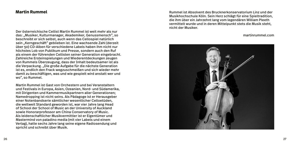## **Martin Rummel**

Der österreichische Cellist Martin Rummel ist weit mehr als nur das: "Musiker, Kulturmanager, Akademiker, Genussmensch", so beschreibt er sich selbst, auch wenn das Cellospiel natürlich sein "Kerngeschäft" geblieben ist. Eine wachsende Zahl (derzeit über 50) CD-Alben für verschiedene Labels haben ihm nicht nur höchstes Lob von Publikum und Presse, sondern auch den Ruf als einem der führenden Cellisten seiner Generation eingebracht. Zahlreiche Ersteinspielungen und Wiederentdeckungen zeugen von Rummels Überzeugung, dass der Inhalt bedeutsamer ist als die Verpackung. "Die große Aufgabe für die nächste Generation ist es, endlich den Frack wegzuschmeißen und sich wieder mehr damit zu beschäftigen, was und wie gespielt wird anstatt wer und wo", so Rummel.

Martin Rummel ist Gast von Orchestern und bei Veranstaltern und Festivals in Europa, Asien, Ozeanien, Nord- und Südamerika, mit Dirigenten und Kammermusikpartnern aller Generationen; Namedropping ist nicht seins. Als Pädagoge ist er Herausgeber einer Notenbandserie sämtlicher wesentlicher Celloetüden, die weltweit Standard geworden ist, war vier Jahre lang Head of School der School of Music an der University of Auckland sowie Honorarprofessor am China Conservatory of Music. Als leidenschaftlicher Musikvermittler ist er Eigentümer und Mastermind von paladino media (mit vier Labels und einem Verlag), hatte sechs Jahre lang seine eigene Radiosendung und spricht und schreibt über Musik.

Rummel ist Absolvent des Brucknerkonservatorium Linz und der Musikhochschule Köln. Sein Herz schlägt für eine Spieltradition, die ihm über ein Jahrzehnt lang vom legendären William Pleeth vermittelt wurde und in deren Mittelpunkt stets die Musik steht, nicht der Musiker.

martinrummel.com

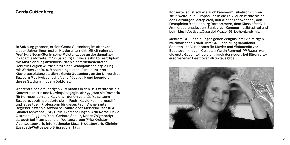### **Gerda Guttenberg**

In Salzburg geboren, erhielt Gerda Guttenberg im Alter von sieben Jahren ihren ersten Klavierunterricht. Mit elf nahm sie Prof. Kurt Neumüller in seine Meisterklasse an der damaligen "Akademie Mozarteum" in Salzburg auf, wo sie ihr Konzertdiplom mit Auszeichnung abschloss. Nach einem vielbeachteten Debüt in Belgien wurde sie zu einer Schallplatteneinspielung mit Werken von W. A. Mozart eingeladen. Parallel zu ihrer Klavierausbildung studierte Gerda Guttenberg an der Universität Salzburg Musikwissenschaft und Pädagogik und beendete dieses Studium mit dem Doktorat.

Während eines dreijährigen Aufenthalts in den USA wirkte sie als Konzertpianistin und Klavierpädagogin. Ab 1995 war sie Dozentin für Korrepetition und Klavier an der Universität Mozarteum Salzburg, 2006 habilitierte sie im Fach "Klavierkammermusik" und ist seitdem Professorin für dieses Fach. Als gefragte Begleiterin war sie sowohl bei zahlreichen Meisterkursen (u.a. Shmuel Ashkenasi, Ivry Gitlis, Clemens Hagen, Artu Noras, David Oistrach, Ruggiero Ricci, Gerhard Schulz, Denes Zsigmondy) als auch bei internationalen Wettbewerben (Fritz Kreisler-Violinwettbewerb, Internationaler Mozart-Wettbewerb, Königin-Elisabeth-Wettbewerb Brüssel u.a.) tätig.

Konzerte (solistisch wie auch kammermusikalisch) führen sie in weite Teile Europas und in die USA, auch wirkte sie bei den Salzburger Festspielen, den Wiener Festwochen , den Festspielen Mecklenburg-Vorpommern, dem Klassikfestival Ammerseerenade, dem Salzburger Kammermusikfestival und beim Musikfestival "Casa dei Mezzo" (Griechenland) mit.

Mehrere CD-Einspielungen geben Zeugnis ihrer vielfältigen musikalischen Arbeit. Ihre CD-Einspielung sämtlicher Sonaten und Variationen für Klavier und Violoncello von Beethoven mit dem Cellisten Martin Rummel (PMR0011) war die erste Gesamteinspielung nach der neuen, bei Bärenreiter erschienenen Beethoven-Urtextausgabe.

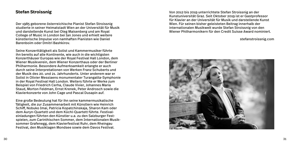## **Stefan Stroissnig**

Der 1985 geborene österreichische Pianist Stefan Stroissnig studierte in seiner Heimatstadt Wien an der Universität für Musik und darstellende Kunst bei Oleg Maisenberg und am Royal College of Music in London bei Ian Jones und erhielt weitere künstlerische Impulse von namhaften Pianisten wie Daniel Barenboim oder Dmitri Bashkirov.

Seine Konzerttätigkeit als Solist und Kammermusiker führte ihn bereits auf alle Kontinente, wie auch in die wichtigsten Konzerthäuser Europas wie der Royal Festival Hall London, dem Wiener Musikverein, dem Wiener Konzerthaus oder der Berliner Philharmonie. Besondere Aufmerksamkeit erlangte er auch durch seine Interpretationen von Werken Franz Schuberts und der Musik des 20. und 21. Jahrhunderts. Unter anderem war er Solist in Olivier Messiaens monumentaler Turangalila-Symphonie in der Royal Festival Hall London. Weiters führte er Werke zum Beispiel von Friedrich Cerha, Claude Vivier, Johannes Maria Staud, Morton Feldman, Ernst Krenek, Peter Androsch sowie die Klavierkonzerte von John Cage und Pascal Dusapin auf.

Eine große Bedeutung hat für ihn seine kammermusikalische Tätigkeit, die zur Zusammenarbeit mit Künstlern wie Heinrich Schiff, Nobuko Imai, Patricia Kopatchinskaja, Sharon Kam oder dem Auryn-Quartett und dem Küchl-Quartett führte. Festivaleinladungen führten den Künstler u.a. zu den Salzburger Festspielen, zum Carinthischen Sommer, dem Internationalen Musiksommer Grafenegg, dem Klavierfestival Ruhr, dem Rheingau Festival, den Musiktagen Mondsee sowie dem Davos Festival.

Von 2012 bis 2019 unterrichtete Stefan Stroissnig an der Kunstuniversität Graz. Seit Oktober 2019 ist er Gastprofessor für Klavier an der Universität für Musik und darstellende Kunst Wien. Für seinen bisher geleisteten Beitrag innerhalb der internationalen Musikwelt wurde Stefan Stroissnig von den Wiener Philharmonikern für den Credit Suisse Award nominiert.

stefanstroissnig.com